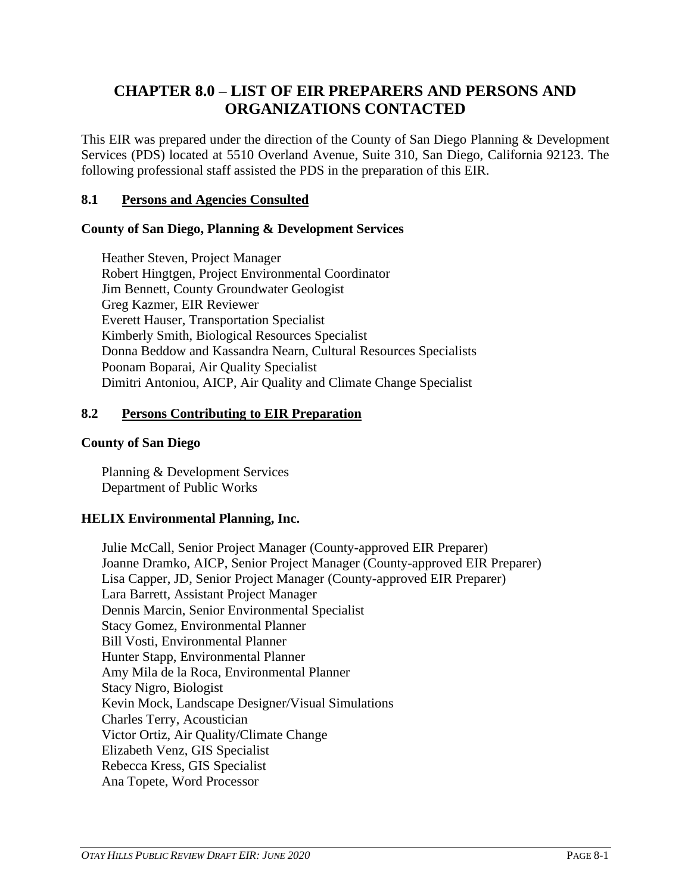# **CHAPTER 8.0 – LIST OF EIR PREPARERS AND PERSONS AND ORGANIZATIONS CONTACTED**

This EIR was prepared under the direction of the County of San Diego Planning & Development Services (PDS) located at 5510 Overland Avenue, Suite 310, San Diego, California 92123. The following professional staff assisted the PDS in the preparation of this EIR.

## **8.1 Persons and Agencies Consulted**

### **County of San Diego, Planning & Development Services**

Heather Steven, Project Manager Robert Hingtgen, Project Environmental Coordinator Jim Bennett, County Groundwater Geologist Greg Kazmer, EIR Reviewer Everett Hauser, Transportation Specialist Kimberly Smith, Biological Resources Specialist Donna Beddow and Kassandra Nearn, Cultural Resources Specialists Poonam Boparai, Air Quality Specialist Dimitri Antoniou, AICP, Air Quality and Climate Change Specialist

### **8.2 Persons Contributing to EIR Preparation**

#### **County of San Diego**

Planning & Development Services Department of Public Works

## **HELIX Environmental Planning, Inc.**

Julie McCall, Senior Project Manager (County-approved EIR Preparer) Joanne Dramko, AICP, Senior Project Manager (County-approved EIR Preparer) Lisa Capper, JD, Senior Project Manager (County-approved EIR Preparer) Lara Barrett, Assistant Project Manager Dennis Marcin, Senior Environmental Specialist Stacy Gomez, Environmental Planner Bill Vosti, Environmental Planner Hunter Stapp, Environmental Planner Amy Mila de la Roca, Environmental Planner Stacy Nigro, Biologist Kevin Mock, Landscape Designer/Visual Simulations Charles Terry, Acoustician Victor Ortiz, Air Quality/Climate Change Elizabeth Venz, GIS Specialist Rebecca Kress, GIS Specialist Ana Topete, Word Processor